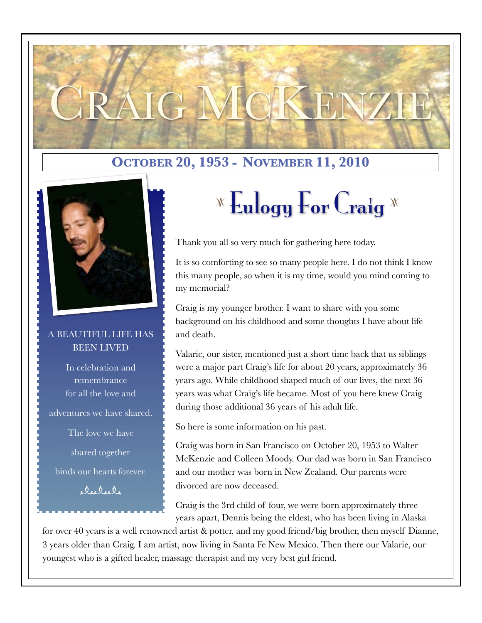#### **OCTOBER 20, 1953 - NOVEMBER 11, 2010**



#### A BEAUTIFUL LIFE HAS BEEN LIVED

In celebration and remembrance for all the love and adventures we have shared. The love we have shared together binds our hearts forever.  $\phi$ ,  $\dot{Q}$ ,  $\dot{Q}$ ,  $\dot{Q}$ ,

## $\mathbb{Z}$  Eulogy For Craig  $\mathbb{Z}$

Thank you all so very much for gathering here today.

TG MCKENZI

It is so comforting to see so many people here. I do not think I know this many people, so when it is my time, would you mind coming to my memorial?

Craig is my younger brother. I want to share with you some background on his childhood and some thoughts I have about life and death.

Valarie, our sister, mentioned just a short time back that us siblings were a major part Craig's life for about 20 years, approximately 36 years ago. While childhood shaped much of our lives, the next 36 years was what Craig's life became. Most of you here knew Craig during those additional 36 years of his adult life.

So here is some information on his past.

Craig was born in San Francisco on October 20, 1953 to Walter McKenzie and Colleen Moody. Our dad was born in San Francisco and our mother was born in New Zealand. Our parents were divorced are now deceased.

Craig is the 3rd child of four, we were born approximately three years apart, Dennis being the eldest, who has been living in Alaska

for over 40 years is a well renowned artist & potter, and my good friend/big brother, then myself Dianne, 3 years older than Craig. I am artist, now living in Santa Fe New Mexico. Then there our Valarie, our youngest who is a gifted healer, massage therapist and my very best girl friend.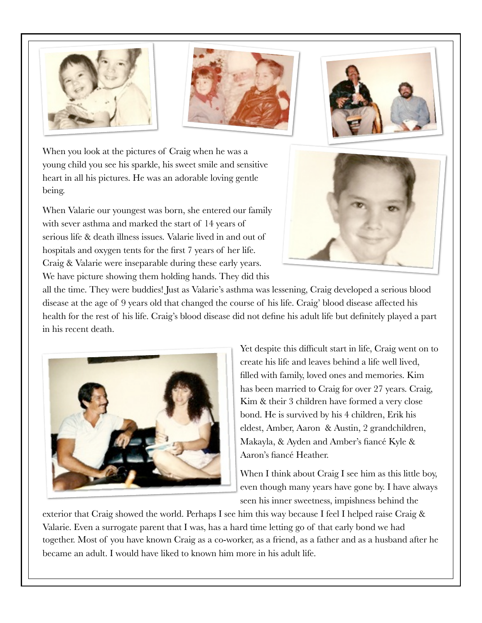





When you look at the pictures of Craig when he was a young child you see his sparkle, his sweet smile and sensitive heart in all his pictures. He was an adorable loving gentle being.

When Valarie our youngest was born, she entered our family with sever asthma and marked the start of 14 years of serious life & death illness issues. Valarie lived in and out of hospitals and oxygen tents for the first 7 years of her life. Craig & Valarie were inseparable during these early years. We have picture showing them holding hands. They did this



all the time. They were buddies! Just as Valarie's asthma was lessening, Craig developed a serious blood disease at the age of 9 years old that changed the course of his life. Craig' blood disease affected his health for the rest of his life. Craig's blood disease did not define his adult life but definitely played a part in his recent death.



Yet despite this difficult start in life, Craig went on to create his life and leaves behind a life well lived, filled with family, loved ones and memories. Kim has been married to Craig for over 27 years. Craig, Kim & their 3 children have formed a very close bond. He is survived by his 4 children, Erik his eldest, Amber, Aaron & Austin, 2 grandchildren, Makayla, & Ayden and Amber's fiancé Kyle & Aaron's fiancé Heather.

When I think about Craig I see him as this little boy, even though many years have gone by. I have always seen his inner sweetness, impishness behind the

exterior that Craig showed the world. Perhaps I see him this way because I feel I helped raise Craig & Valarie. Even a surrogate parent that I was, has a hard time letting go of that early bond we had together. Most of you have known Craig as a co-worker, as a friend, as a father and as a husband after he became an adult. I would have liked to known him more in his adult life.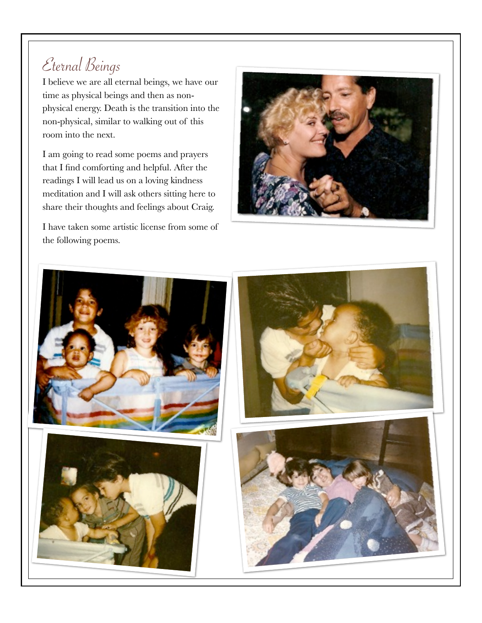### Eternal Beings

I believe we are all eternal beings, we have our time as physical beings and then as nonphysical energy. Death is the transition into the non-physical, similar to walking out of this room into the next.

I am going to read some poems and prayers that I find comforting and helpful. After the readings I will lead us on a loving kindness meditation and I will ask others sitting here to share their thoughts and feelings about Craig.

I have taken some artistic license from some of the following poems.



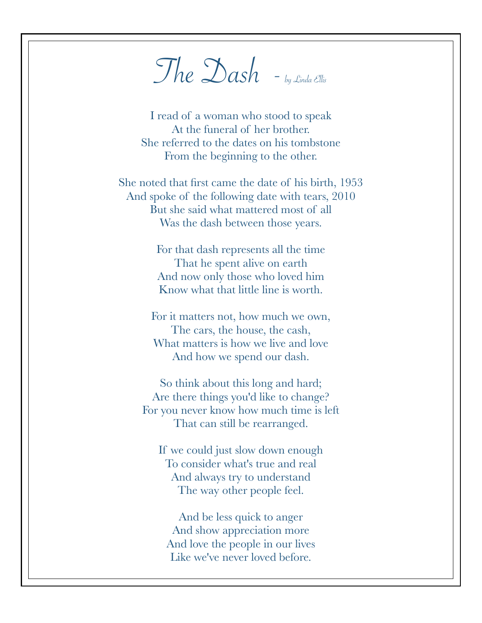$The  $\Delta$ ash  $-b_y$  Linda Ellis$ 

I read of a woman who stood to speak At the funeral of her brother. She referred to the dates on his tombstone From the beginning to the other.

She noted that first came the date of his birth, 1953 And spoke of the following date with tears, 2010 But she said what mattered most of all Was the dash between those years.

> For that dash represents all the time That he spent alive on earth And now only those who loved him Know what that little line is worth.

For it matters not, how much we own, The cars, the house, the cash, What matters is how we live and love And how we spend our dash.

So think about this long and hard; Are there things you'd like to change? For you never know how much time is left That can still be rearranged.

If we could just slow down enough To consider what's true and real And always try to understand The way other people feel.

And be less quick to anger And show appreciation more And love the people in our lives Like we've never loved before.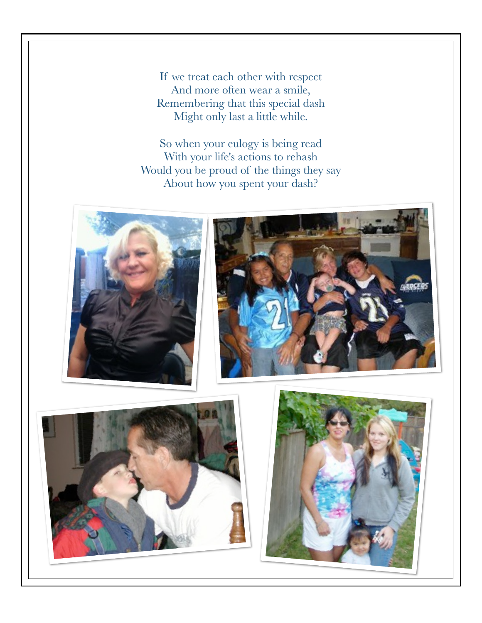If we treat each other with respect And more often wear a smile, Remembering that this special dash Might only last a little while.

So when your eulogy is being read With your life's actions to rehash Would you be proud of the things they say About how you spent your dash?







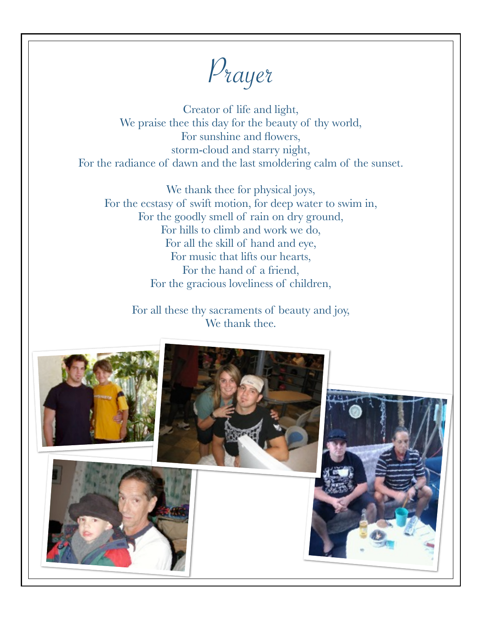Prayer

Creator of life and light, We praise thee this day for the beauty of thy world, For sunshine and flowers, storm-cloud and starry night, For the radiance of dawn and the last smoldering calm of the sunset.

We thank thee for physical joys, For the ecstasy of swift motion, for deep water to swim in, For the goodly smell of rain on dry ground, For hills to climb and work we do, For all the skill of hand and eye, For music that lifts our hearts, For the hand of a friend, For the gracious loveliness of children,

For all these thy sacraments of beauty and joy, We thank thee.

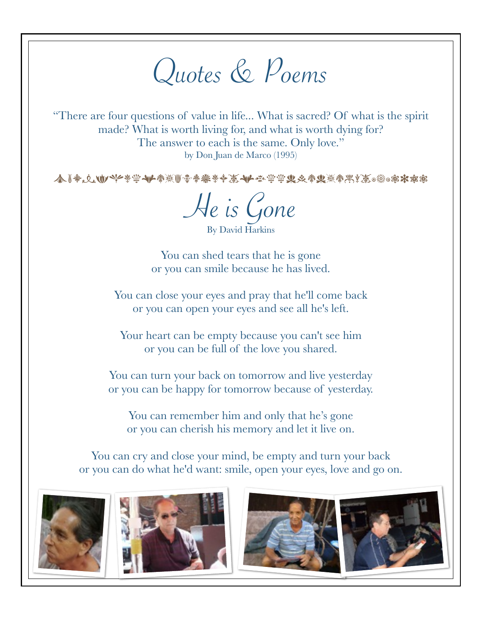# Quotes & Poems

"There are four questions of value in life... What is sacred? Of what is the spirit made? What is worth living for, and what is worth dying for? The answer to each is the same. Only love." by Don Juan de Marco (1995)

本┃参△心ツンチ学→┣参※┃雷参楽そ◆英→┣なゆヅ火参其※参黒※◎※◎\*\*\*※

He is Gone

By David Harkins

You can shed tears that he is gone or you can smile because he has lived.

You can close your eyes and pray that he'll come back or you can open your eyes and see all he's left.

Your heart can be empty because you can't see him or you can be full of the love you shared.

You can turn your back on tomorrow and live yesterday or you can be happy for tomorrow because of yesterday.

You can remember him and only that he's gone or you can cherish his memory and let it live on.

You can cry and close your mind, be empty and turn your back or you can do what he'd want: smile, open your eyes, love and go on.





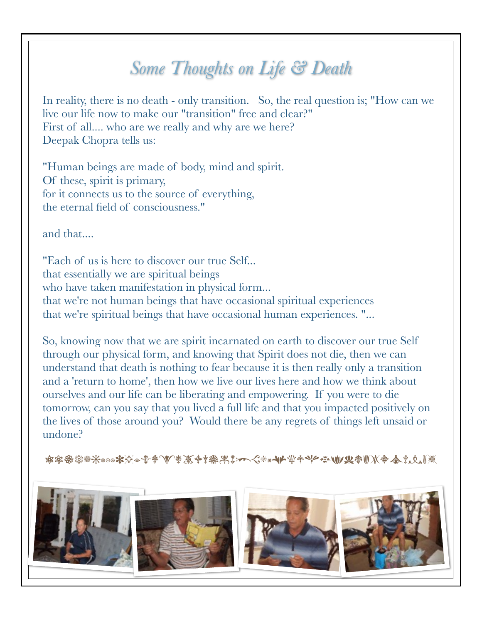## *Some Thoughts on Life & Death*

In reality, there is no death - only transition. So, the real question is; "How can we live our life now to make our "transition" free and clear?" First of all.... who are we really and why are we here? Deepak Chopra tells us:

"Human beings are made of body, mind and spirit. Of these, spirit is primary, for it connects us to the source of everything, the eternal field of consciousness."

and that....

"Each of us is here to discover our true Self... that essentially we are spiritual beings who have taken manifestation in physical form... that we're not human beings that have occasional spiritual experiences that we're spiritual beings that have occasional human experiences. "...

So, knowing now that we are spirit incarnated on earth to discover our true Self through our physical form, and knowing that Spirit does not die, then we can understand that death is nothing to fear because it is then really only a transition and a 'return to home', then how we live our lives here and how we think about ourselves and our life can be liberating and empowering. If you were to die tomorrow, can you say that you lived a full life and that you impacted positively on the lives of those around you? Would there be any regrets of things left unsaid or undone?

1234567890-=qwertyuiop[]';lkjhgfdsazxcvnb,

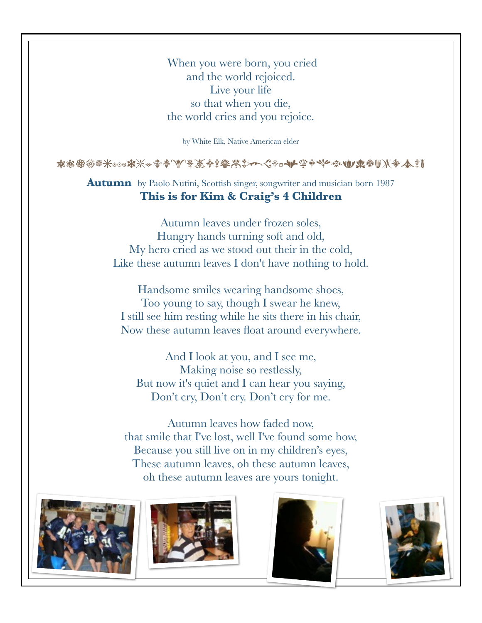When you were born, you cried and the world rejoiced. Live your life so that when you die, the world cries and you rejoice.

by White Elk, Native American elder

1234567890-=qwertyuiop[]';lkjhgfdsazxcvb

**Autumn** by Paolo Nutini, Scottish singer, songwriter and musician born 1987 **This is for Kim & Craig's 4 Children**

Autumn leaves under frozen soles, Hungry hands turning soft and old, My hero cried as we stood out their in the cold, Like these autumn leaves I don't have nothing to hold.

Handsome smiles wearing handsome shoes, Too young to say, though I swear he knew, I still see him resting while he sits there in his chair, Now these autumn leaves float around everywhere.

And I look at you, and I see me, Making noise so restlessly, But now it's quiet and I can hear you saying, Don't cry, Don't cry. Don't cry for me.

Autumn leaves how faded now, that smile that I've lost, well I've found some how, Because you still live on in my children's eyes, These autumn leaves, oh these autumn leaves, oh these autumn leaves are yours tonight.







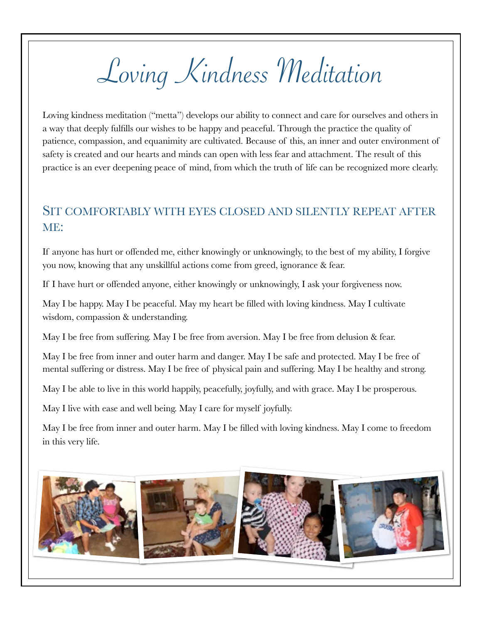Loving Kindness Meditation

Loving kindness meditation ("metta") develops our ability to connect and care for ourselves and others in a way that deeply fulfills our wishes to be happy and peaceful. Through the practice the quality of patience, compassion, and equanimity are cultivated. Because of this, an inner and outer environment of safety is created and our hearts and minds can open with less fear and attachment. The result of this practice is an ever deepening peace of mind, from which the truth of life can be recognized more clearly.

#### SIT COMFORTABLY WITH EYES CLOSED AND SILENTLY REPEAT AFTER ME:

If anyone has hurt or offended me, either knowingly or unknowingly, to the best of my ability, I forgive you now, knowing that any unskillful actions come from greed, ignorance & fear.

If I have hurt or offended anyone, either knowingly or unknowingly, I ask your forgiveness now.

May I be happy. May I be peaceful. May my heart be filled with loving kindness. May I cultivate wisdom, compassion & understanding.

May I be free from suffering. May I be free from aversion. May I be free from delusion & fear.

May I be free from inner and outer harm and danger. May I be safe and protected. May I be free of mental suffering or distress. May I be free of physical pain and suffering. May I be healthy and strong.

May I be able to live in this world happily, peacefully, joyfully, and with grace. May I be prosperous.

May I live with ease and well being. May I care for myself joyfully.

May I be free from inner and outer harm. May I be filled with loving kindness. May I come to freedom in this very life.

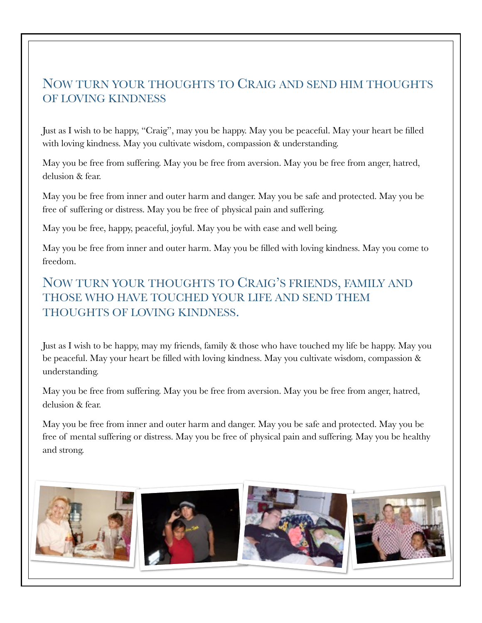#### NOW TURN YOUR THOUGHTS TO CRAIG AND SEND HIM THOUGHTS OF LOVING KINDNESS

Just as I wish to be happy, "Craig", may you be happy. May you be peaceful. May your heart be filled with loving kindness. May you cultivate wisdom, compassion & understanding.

May you be free from suffering. May you be free from aversion. May you be free from anger, hatred, delusion & fear.

May you be free from inner and outer harm and danger. May you be safe and protected. May you be free of suffering or distress. May you be free of physical pain and suffering.

May you be free, happy, peaceful, joyful. May you be with ease and well being.

May you be free from inner and outer harm. May you be filled with loving kindness. May you come to freedom.

NOW TURN YOUR THOUGHTS TO CRAIG'S FRIENDS, FAMILY AND THOSE WHO HAVE TOUCHED YOUR LIFE AND SEND THEM THOUGHTS OF LOVING KINDNESS.

Just as I wish to be happy, may my friends, family & those who have touched my life be happy. May you be peaceful. May your heart be filled with loving kindness. May you cultivate wisdom, compassion & understanding.

May you be free from suffering. May you be free from aversion. May you be free from anger, hatred, delusion & fear.

May you be free from inner and outer harm and danger. May you be safe and protected. May you be free of mental suffering or distress. May you be free of physical pain and suffering. May you be healthy and strong.

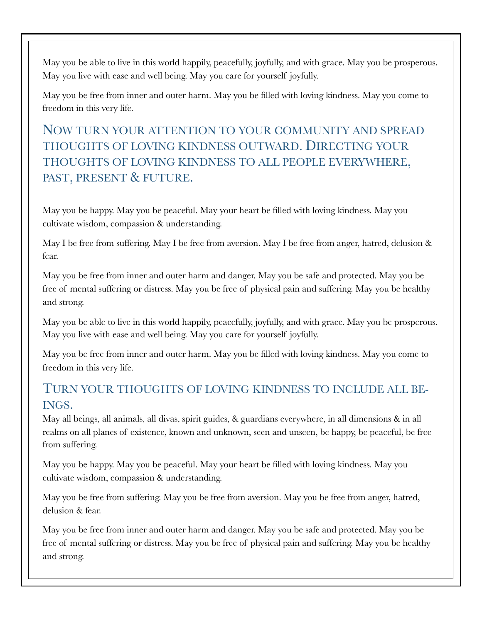May you be able to live in this world happily, peacefully, joyfully, and with grace. May you be prosperous. May you live with ease and well being. May you care for yourself joyfully.

May you be free from inner and outer harm. May you be filled with loving kindness. May you come to freedom in this very life.

NOW TURN YOUR ATTENTION TO YOUR COMMUNITY AND SPREAD THOUGHTS OF LOVING KINDNESS OUTWARD. DIRECTING YOUR THOUGHTS OF LOVING KINDNESS TO ALL PEOPLE EVERYWHERE, PAST, PRESENT & FUTURE.

May you be happy. May you be peaceful. May your heart be filled with loving kindness. May you cultivate wisdom, compassion & understanding.

May I be free from suffering. May I be free from aversion. May I be free from anger, hatred, delusion & fear.

May you be free from inner and outer harm and danger. May you be safe and protected. May you be free of mental suffering or distress. May you be free of physical pain and suffering. May you be healthy and strong.

May you be able to live in this world happily, peacefully, joyfully, and with grace. May you be prosperous. May you live with ease and well being. May you care for yourself joyfully.

May you be free from inner and outer harm. May you be filled with loving kindness. May you come to freedom in this very life.

#### TURN YOUR THOUGHTS OF LOVING KINDNESS TO INCLUDE ALL BE-INGS.

May all beings, all animals, all divas, spirit guides, & guardians everywhere, in all dimensions & in all realms on all planes of existence, known and unknown, seen and unseen, be happy, be peaceful, be free from suffering.

May you be happy. May you be peaceful. May your heart be filled with loving kindness. May you cultivate wisdom, compassion & understanding.

May you be free from suffering. May you be free from aversion. May you be free from anger, hatred, delusion & fear.

May you be free from inner and outer harm and danger. May you be safe and protected. May you be free of mental suffering or distress. May you be free of physical pain and suffering. May you be healthy and strong.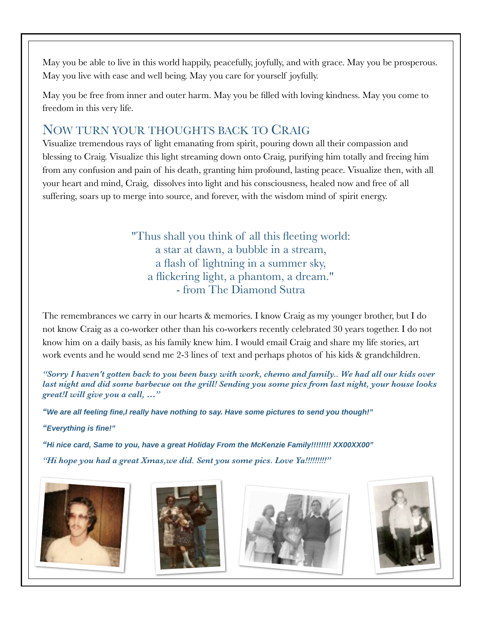May you be able to live in this world happily, peacefully, joyfully, and with grace. May you be prosperous. May you live with ease and well being. May you care for yourself joyfully.

May you be free from inner and outer harm. May you be filled with loving kindness. May you come to freedom in this very life.

#### NOW TURN YOUR THOUGHTS BACK TO CRAIG

Visualize tremendous rays of light emanating from spirit, pouring down all their compassion and blessing to Craig. Visualize this light streaming down onto Craig, purifying him totally and freeing him from any confusion and pain of his death, granting him profound, lasting peace. Visualize then, with all your heart and mind, Craig, dissolves into light and his consciousness, healed now and free of all suffering, soars up to merge into source, and forever, with the wisdom mind of spirit energy.

> "Thus shall you think of all this fleeting world: a star at dawn, a bubble in a stream, a flash of lightning in a summer sky, a flickering light, a phantom, a dream." - from The Diamond Sutra

The remembrances we carry in our hearts & memories. I know Craig as my younger brother, but I do not know Craig as a co-worker other than his co-workers recently celebrated 30 years together. I do not know him on a daily basis, as his family knew him. I would email Craig and share my life stories, art work events and he would send me 2-3 lines of text and perhaps photos of his kids & grandchildren.

*"Sorry I haven't gotten back to you been busy with work, chemo and family.. We had all our kids over last night and did some barbecue on the grill! Sending you some pics from last night, your house looks great!I will give you a call, …"*

**"We are all feeling fine,I really have nothing to say. Have some pictures to send you though!"**

**"Everything is fine!"**

**"Hi nice card, Same to you, have a great Holiday From the McKenzie Family!!!!!!!! XX00XX00"** *"Hi hope you had a great Xmas,we did. Sent you some pics. Love Ya!!!!!!!!!"*